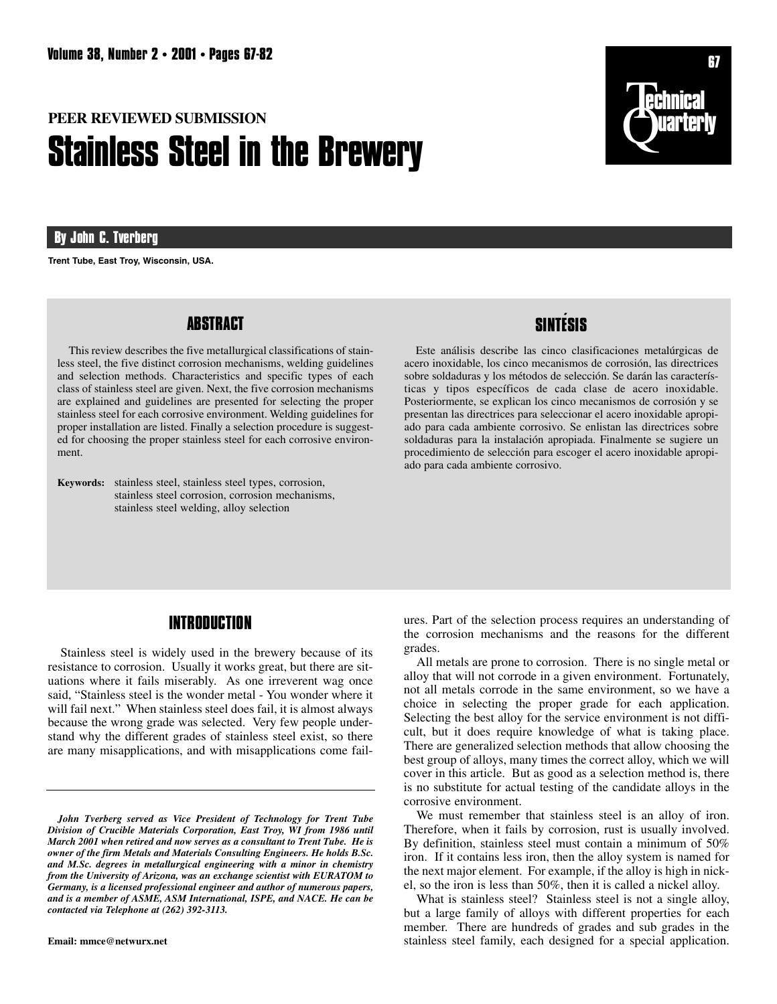# **PEER REVIEWED SUBMISSION Stainless Steel in the Brewery**

# **By John C. Tverberg**

**Trent Tube, East Troy, Wisconsin, USA.**

# **ABSTRACT**

This review describes the five metallurgical classifications of stainless steel, the five distinct corrosion mechanisms, welding guidelines and selection methods. Characteristics and specific types of each class of stainless steel are given. Next, the five corrosion mechanisms are explained and guidelines are presented for selecting the proper stainless steel for each corrosive environment. Welding guidelines for proper installation are listed. Finally a selection procedure is suggested for choosing the proper stainless steel for each corrosive environment.

**Keywords:** stainless steel, stainless steel types, corrosion, stainless steel corrosion, corrosion mechanisms, stainless steel welding, alloy selection



# **SINTE´ SIS**

Este análisis describe las cinco clasificaciones metalúrgicas de acero inoxidable, los cinco mecanismos de corrosión, las directrices sobre soldaduras y los métodos de selección. Se darán las características y tipos específicos de cada clase de acero inoxidable. Posteriormente, se explican los cinco mecanismos de corrosión y se presentan las directrices para seleccionar el acero inoxidable apropiado para cada ambiente corrosivo. Se enlistan las directrices sobre soldaduras para la instalación apropiada. Finalmente se sugiere un procedimiento de selección para escoger el acero inoxidable apropiado para cada ambiente corrosivo.

# **INTRODUCTION**

Stainless steel is widely used in the brewery because of its resistance to corrosion. Usually it works great, but there are situations where it fails miserably. As one irreverent wag once said, "Stainless steel is the wonder metal - You wonder where it will fail next." When stainless steel does fail, it is almost always because the wrong grade was selected. Very few people understand why the different grades of stainless steel exist, so there are many misapplications, and with misapplications come fail-

**Email: mmce@netwurx.net**

ures. Part of the selection process requires an understanding of the corrosion mechanisms and the reasons for the different grades.

All metals are prone to corrosion. There is no single metal or alloy that will not corrode in a given environment. Fortunately, not all metals corrode in the same environment, so we have a choice in selecting the proper grade for each application. Selecting the best alloy for the service environment is not difficult, but it does require knowledge of what is taking place. There are generalized selection methods that allow choosing the best group of alloys, many times the correct alloy, which we will cover in this article. But as good as a selection method is, there is no substitute for actual testing of the candidate alloys in the corrosive environment.

We must remember that stainless steel is an alloy of iron. Therefore, when it fails by corrosion, rust is usually involved. By definition, stainless steel must contain a minimum of 50% iron. If it contains less iron, then the alloy system is named for the next major element. For example, if the alloy is high in nickel, so the iron is less than 50%, then it is called a nickel alloy.

What is stainless steel? Stainless steel is not a single alloy, but a large family of alloys with different properties for each member. There are hundreds of grades and sub grades in the stainless steel family, each designed for a special application.

*John Tverberg served as Vice President of Technology for Trent Tube Division of Crucible Materials Corporation, East Troy, WI from 1986 until March 2001 when retired and now serves as a consultant to Trent Tube. He is owner of the firm Metals and Materials Consulting Engineers. He holds B.Sc. and M.Sc. degrees in metallurgical engineering with a minor in chemistry from the University of Arizona, was an exchange scientist with EURATOM to Germany, is a licensed professional engineer and author of numerous papers, and is a member of ASME, ASM International, ISPE, and NACE. He can be contacted via Telephone at (262) 392-3113.*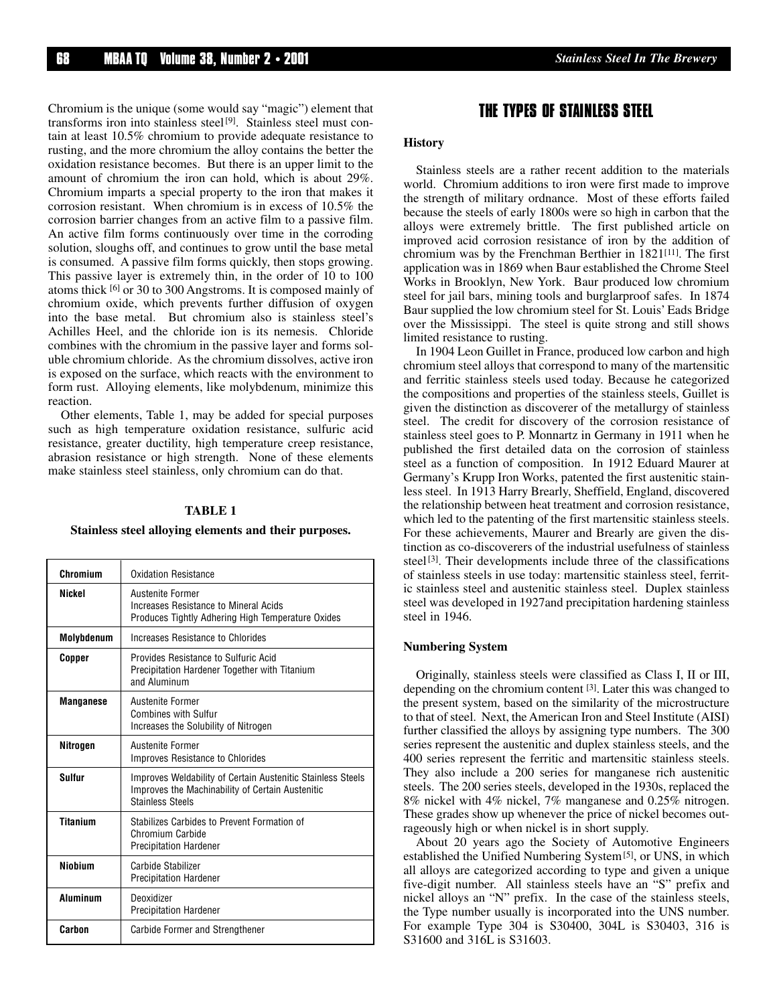Chromium is the unique (some would say "magic") element that transforms iron into stainless steel<sup>[9]</sup>. Stainless steel must contain at least 10.5% chromium to provide adequate resistance to rusting, and the more chromium the alloy contains the better the oxidation resistance becomes. But there is an upper limit to the amount of chromium the iron can hold, which is about 29%. Chromium imparts a special property to the iron that makes it corrosion resistant. When chromium is in excess of 10.5% the corrosion barrier changes from an active film to a passive film. An active film forms continuously over time in the corroding solution, sloughs off, and continues to grow until the base metal is consumed. A passive film forms quickly, then stops growing. This passive layer is extremely thin, in the order of 10 to 100 atoms thick [6] or 30 to 300 Angstroms. It is composed mainly of chromium oxide, which prevents further diffusion of oxygen into the base metal. But chromium also is stainless steel's Achilles Heel, and the chloride ion is its nemesis. Chloride combines with the chromium in the passive layer and forms soluble chromium chloride. As the chromium dissolves, active iron is exposed on the surface, which reacts with the environment to form rust. Alloying elements, like molybdenum, minimize this reaction.

Other elements, Table 1, may be added for special purposes such as high temperature oxidation resistance, sulfuric acid resistance, greater ductility, high temperature creep resistance, abrasion resistance or high strength. None of these elements make stainless steel stainless, only chromium can do that.

#### **TABLE 1**

#### **Stainless steel alloying elements and their purposes.**

| Chromium         | <b>Oxidation Resistance</b>                                                                                                                |
|------------------|--------------------------------------------------------------------------------------------------------------------------------------------|
| <b>Nickel</b>    | <b>Austenite Former</b><br>Increases Resistance to Mineral Acids<br>Produces Tightly Adhering High Temperature Oxides                      |
| Molybdenum       | Increases Resistance to Chlorides                                                                                                          |
| Copper           | Provides Resistance to Sulfuric Acid<br>Precipitation Hardener Together with Titanium<br>and Aluminum                                      |
| <b>Manganese</b> | Austenite Former<br><b>Combines with Sulfur</b><br>Increases the Solubility of Nitrogen                                                    |
| Nitrogen         | Austenite Former<br><b>Improves Resistance to Chlorides</b>                                                                                |
| <b>Sulfur</b>    | Improves Weldability of Certain Austenitic Stainless Steels<br>Improves the Machinability of Certain Austenitic<br><b>Stainless Steels</b> |
| <b>Titanium</b>  | Stabilizes Carbides to Prevent Formation of<br>Chromium Carbide<br><b>Precipitation Hardener</b>                                           |
| <b>Niohium</b>   | <b>Carbide Stabilizer</b><br><b>Precipitation Hardener</b>                                                                                 |
| <b>Aluminum</b>  | Deoxidizer<br><b>Precipitation Hardener</b>                                                                                                |
| Carbon           | <b>Carbide Former and Strengthener</b>                                                                                                     |

# **THE TYPES OF STAINLESS STEEL**

#### **History**

Stainless steels are a rather recent addition to the materials world. Chromium additions to iron were first made to improve the strength of military ordnance. Most of these efforts failed because the steels of early 1800s were so high in carbon that the alloys were extremely brittle. The first published article on improved acid corrosion resistance of iron by the addition of chromium was by the Frenchman Berthier in 1821[11]. The first application was in 1869 when Baur established the Chrome Steel Works in Brooklyn, New York. Baur produced low chromium steel for jail bars, mining tools and burglarproof safes. In 1874 Baur supplied the low chromium steel for St. Louis' Eads Bridge over the Mississippi. The steel is quite strong and still shows limited resistance to rusting.

In 1904 Leon Guillet in France, produced low carbon and high chromium steel alloys that correspond to many of the martensitic and ferritic stainless steels used today. Because he categorized the compositions and properties of the stainless steels, Guillet is given the distinction as discoverer of the metallurgy of stainless steel. The credit for discovery of the corrosion resistance of stainless steel goes to P. Monnartz in Germany in 1911 when he published the first detailed data on the corrosion of stainless steel as a function of composition. In 1912 Eduard Maurer at Germany's Krupp Iron Works, patented the first austenitic stainless steel. In 1913 Harry Brearly, Sheffield, England, discovered the relationship between heat treatment and corrosion resistance, which led to the patenting of the first martensitic stainless steels. For these achievements, Maurer and Brearly are given the distinction as co-discoverers of the industrial usefulness of stainless steel<sup>[3]</sup>. Their developments include three of the classifications of stainless steels in use today: martensitic stainless steel, ferritic stainless steel and austenitic stainless steel. Duplex stainless steel was developed in 1927and precipitation hardening stainless steel in 1946.

#### **Numbering System**

Originally, stainless steels were classified as Class I, II or III, depending on the chromium content [3]. Later this was changed to the present system, based on the similarity of the microstructure to that of steel. Next, the American Iron and Steel Institute (AISI) further classified the alloys by assigning type numbers. The 300 series represent the austenitic and duplex stainless steels, and the 400 series represent the ferritic and martensitic stainless steels. They also include a 200 series for manganese rich austenitic steels. The 200 series steels, developed in the 1930s, replaced the 8% nickel with 4% nickel, 7% manganese and 0.25% nitrogen. These grades show up whenever the price of nickel becomes outrageously high or when nickel is in short supply.

About 20 years ago the Society of Automotive Engineers established the Unified Numbering System[5], or UNS, in which all alloys are categorized according to type and given a unique five-digit number. All stainless steels have an "S" prefix and nickel alloys an "N" prefix. In the case of the stainless steels, the Type number usually is incorporated into the UNS number. For example Type 304 is S30400, 304L is S30403, 316 is S31600 and 316L is S31603.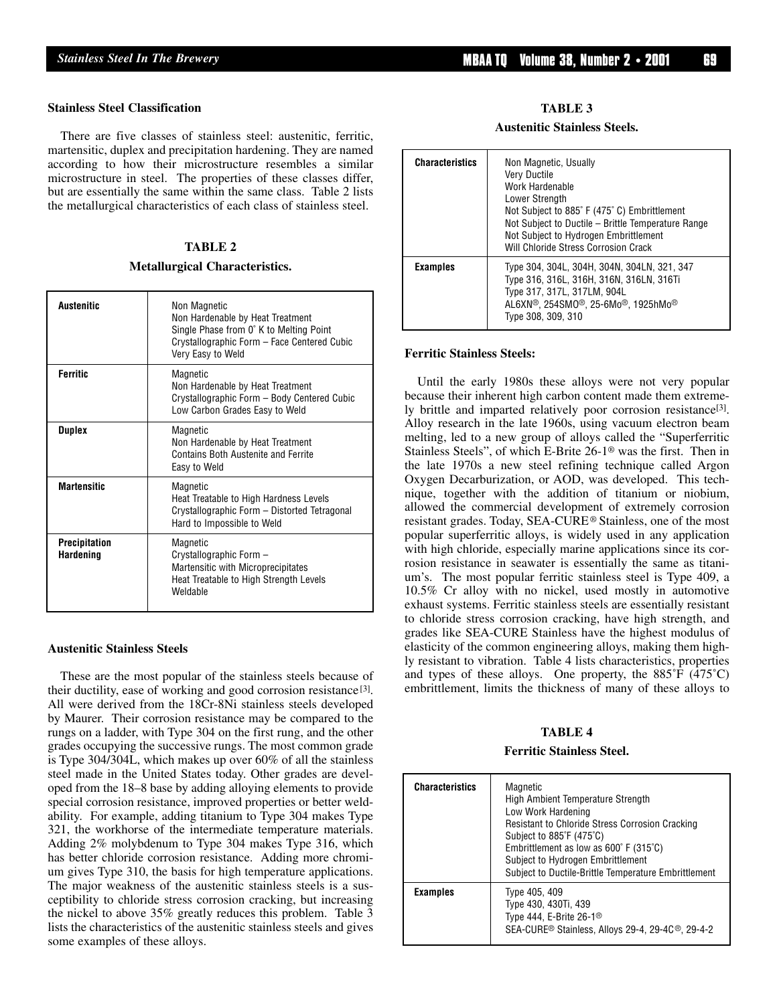#### **Stainless Steel Classification**

There are five classes of stainless steel: austenitic, ferritic, martensitic, duplex and precipitation hardening. They are named according to how their microstructure resembles a similar microstructure in steel. The properties of these classes differ, but are essentially the same within the same class. Table 2 lists the metallurgical characteristics of each class of stainless steel.

# **TABLE 2**

#### **Metallurgical Characteristics.**

| <b>Austenitic</b>                        | Non Magnetic<br>Non Hardenable by Heat Treatment<br>Single Phase from 0° K to Melting Point<br>Crystallographic Form - Face Centered Cubic<br>Very Easy to Weld |
|------------------------------------------|-----------------------------------------------------------------------------------------------------------------------------------------------------------------|
| <b>Ferritic</b>                          | Magnetic<br>Non Hardenable by Heat Treatment<br>Crystallographic Form - Body Centered Cubic<br>Low Carbon Grades Easy to Weld                                   |
| <b>Duplex</b>                            | Magnetic<br>Non Hardenable by Heat Treatment<br>Contains Both Austenite and Ferrite<br>Easy to Weld                                                             |
| <b>Martensitic</b>                       | Magnetic<br>Heat Treatable to High Hardness Levels<br>Crystallographic Form - Distorted Tetragonal<br>Hard to Impossible to Weld                                |
| <b>Precipitation</b><br><b>Hardening</b> | Magnetic<br>Crystallographic Form -<br>Martensitic with Microprecipitates<br>Heat Treatable to High Strength Levels<br>Weldable                                 |

#### **Austenitic Stainless Steels**

These are the most popular of the stainless steels because of their ductility, ease of working and good corrosion resistance<sup>[3]</sup>. All were derived from the 18Cr-8Ni stainless steels developed by Maurer. Their corrosion resistance may be compared to the rungs on a ladder, with Type 304 on the first rung, and the other grades occupying the successive rungs. The most common grade is Type 304/304L, which makes up over 60% of all the stainless steel made in the United States today. Other grades are developed from the 18–8 base by adding alloying elements to provide special corrosion resistance, improved properties or better weldability. For example, adding titanium to Type 304 makes Type 321, the workhorse of the intermediate temperature materials. Adding 2% molybdenum to Type 304 makes Type 316, which has better chloride corrosion resistance. Adding more chromium gives Type 310, the basis for high temperature applications. The major weakness of the austenitic stainless steels is a susceptibility to chloride stress corrosion cracking, but increasing the nickel to above 35% greatly reduces this problem. Table 3 lists the characteristics of the austenitic stainless steels and gives some examples of these alloys.

#### **TABLE 3**

#### **Austenitic Stainless Steels.**

| <b>Characteristics</b> | Non Magnetic, Usually<br><b>Very Ductile</b><br>Work Hardenable<br>Lower Strength<br>Not Subject to 885° F (475° C) Embrittlement<br>Not Subject to Ductile - Brittle Temperature Range<br>Not Subject to Hydrogen Embrittlement<br>Will Chloride Stress Corrosion Crack |
|------------------------|--------------------------------------------------------------------------------------------------------------------------------------------------------------------------------------------------------------------------------------------------------------------------|
| <b>Examples</b>        | Type 304, 304L, 304H, 304N, 304LN, 321, 347<br>Type 316, 316L, 316H, 316N, 316LN, 316Ti<br>Type 317, 317L, 317LM, 904L<br>AL6XN®, 254SM0®, 25-6Mo®, 1925hMo®<br>Type 308, 309, 310                                                                                       |

#### **Ferritic Stainless Steels:**

Until the early 1980s these alloys were not very popular because their inherent high carbon content made them extremely brittle and imparted relatively poor corrosion resistance<sup>[3]</sup>. Alloy research in the late 1960s, using vacuum electron beam melting, led to a new group of alloys called the "Superferritic Stainless Steels", of which E-Brite 26-1® was the first. Then in the late 1970s a new steel refining technique called Argon Oxygen Decarburization, or AOD, was developed. This technique, together with the addition of titanium or niobium, allowed the commercial development of extremely corrosion resistant grades. Today, SEA-CURE® Stainless, one of the most popular superferritic alloys, is widely used in any application with high chloride, especially marine applications since its corrosion resistance in seawater is essentially the same as titanium's. The most popular ferritic stainless steel is Type 409, a 10.5% Cr alloy with no nickel, used mostly in automotive exhaust systems. Ferritic stainless steels are essentially resistant to chloride stress corrosion cracking, have high strength, and grades like SEA-CURE Stainless have the highest modulus of elasticity of the common engineering alloys, making them highly resistant to vibration. Table 4 lists characteristics, properties and types of these alloys. One property, the  $885^{\circ}F (475^{\circ}C)$ embrittlement, limits the thickness of many of these alloys to

### **TABLE 4**

#### **Ferritic Stainless Steel.**

| <b>Characteristics</b> | Magnetic<br><b>High Ambient Temperature Strength</b><br>Low Work Hardening<br>Resistant to Chloride Stress Corrosion Cracking<br>Subject to $885^{\circ}F(475^{\circ}C)$<br>Embrittlement as low as $600^{\circ}$ F (315 $^{\circ}$ C)<br>Subject to Hydrogen Embrittlement<br>Subject to Ductile-Brittle Temperature Embrittlement |  |
|------------------------|-------------------------------------------------------------------------------------------------------------------------------------------------------------------------------------------------------------------------------------------------------------------------------------------------------------------------------------|--|
| <b>Examples</b>        | Type 405, 409<br>Type 430, 430Ti, 439<br>Type 444, E-Brite 26-1 <sup>®</sup><br>SEA-CURE <sup>®</sup> Stainless, Alloys 29-4, 29-4C <sup>®</sup> , 29-4-2                                                                                                                                                                           |  |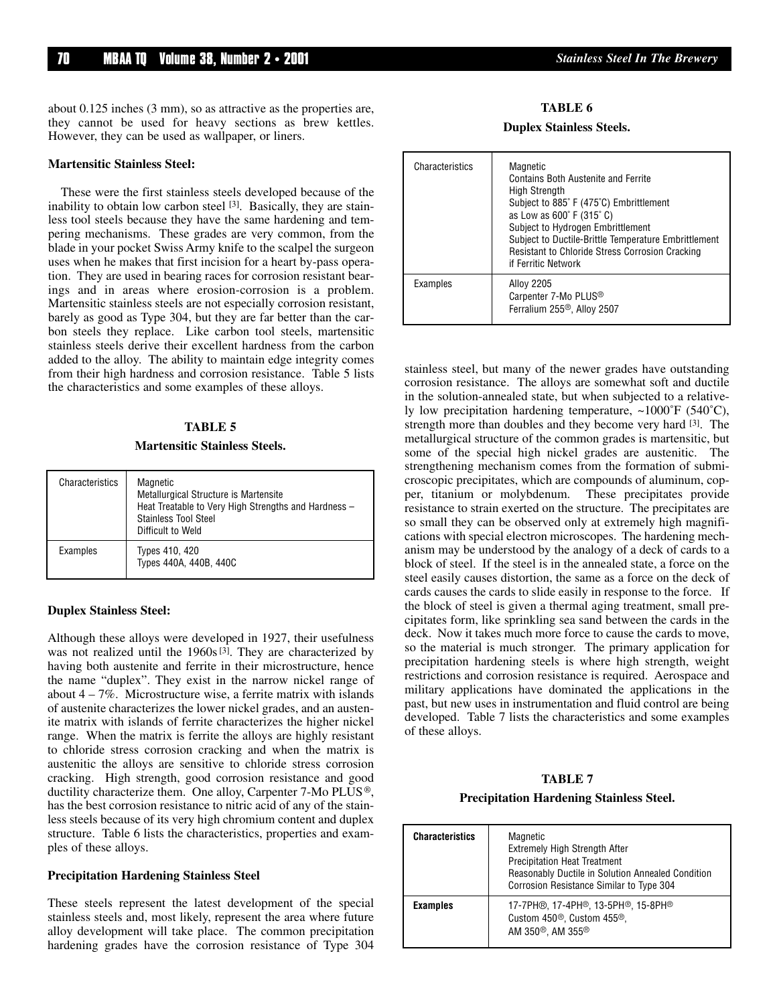about 0.125 inches (3 mm), so as attractive as the properties are, they cannot be used for heavy sections as brew kettles. However, they can be used as wallpaper, or liners.

#### **Martensitic Stainless Steel:**

These were the first stainless steels developed because of the inability to obtain low carbon steel [3]. Basically, they are stainless tool steels because they have the same hardening and tempering mechanisms. These grades are very common, from the blade in your pocket Swiss Army knife to the scalpel the surgeon uses when he makes that first incision for a heart by-pass operation. They are used in bearing races for corrosion resistant bearings and in areas where erosion-corrosion is a problem. Martensitic stainless steels are not especially corrosion resistant, barely as good as Type 304, but they are far better than the carbon steels they replace. Like carbon tool steels, martensitic stainless steels derive their excellent hardness from the carbon added to the alloy. The ability to maintain edge integrity comes from their high hardness and corrosion resistance. Table 5 lists the characteristics and some examples of these alloys.

#### **TABLE 5**

# **Martensitic Stainless Steels.**

| Characteristics | Magnetic<br>Metallurgical Structure is Martensite<br>Heat Treatable to Very High Strengths and Hardness -<br><b>Stainless Tool Steel</b><br>Difficult to Weld |
|-----------------|---------------------------------------------------------------------------------------------------------------------------------------------------------------|
| Examples        | Types 410, 420<br>Types 440A, 440B, 440C                                                                                                                      |

#### **Duplex Stainless Steel:**

Although these alloys were developed in 1927, their usefulness was not realized until the  $1960s^{3}$ . They are characterized by having both austenite and ferrite in their microstructure, hence the name "duplex". They exist in the narrow nickel range of about  $4 - 7\%$ . Microstructure wise, a ferrite matrix with islands of austenite characterizes the lower nickel grades, and an austenite matrix with islands of ferrite characterizes the higher nickel range. When the matrix is ferrite the alloys are highly resistant to chloride stress corrosion cracking and when the matrix is austenitic the alloys are sensitive to chloride stress corrosion cracking. High strength, good corrosion resistance and good ductility characterize them. One alloy, Carpenter 7-Mo PLUS®, has the best corrosion resistance to nitric acid of any of the stainless steels because of its very high chromium content and duplex structure. Table 6 lists the characteristics, properties and examples of these alloys.

#### **Precipitation Hardening Stainless Steel**

These steels represent the latest development of the special stainless steels and, most likely, represent the area where future alloy development will take place. The common precipitation hardening grades have the corrosion resistance of Type 304

#### **TABLE 6**

#### **Duplex Stainless Steels.**

| Characteristics | Magnetic<br><b>Contains Both Austenite and Ferrite</b><br><b>High Strength</b><br>Subject to 885°F (475°C) Embrittlement<br>as Low as 600° F (315° C)<br>Subject to Hydrogen Embrittlement<br>Subject to Ductile-Brittle Temperature Embrittlement<br><b>Resistant to Chloride Stress Corrosion Cracking</b><br>if Ferritic Network |  |
|-----------------|-------------------------------------------------------------------------------------------------------------------------------------------------------------------------------------------------------------------------------------------------------------------------------------------------------------------------------------|--|
| Examples        | <b>Alloy 2205</b><br>Carpenter 7-Mo PLUS <sup>®</sup><br>Ferralium 255 <sup>®</sup> , Alloy 2507                                                                                                                                                                                                                                    |  |

stainless steel, but many of the newer grades have outstanding corrosion resistance. The alloys are somewhat soft and ductile in the solution-annealed state, but when subjected to a relatively low precipitation hardening temperature, ~1000˚F (540˚C), strength more than doubles and they become very hard [3]. The metallurgical structure of the common grades is martensitic, but some of the special high nickel grades are austenitic. The strengthening mechanism comes from the formation of submicroscopic precipitates, which are compounds of aluminum, copper, titanium or molybdenum. These precipitates provide resistance to strain exerted on the structure. The precipitates are so small they can be observed only at extremely high magnifications with special electron microscopes. The hardening mechanism may be understood by the analogy of a deck of cards to a block of steel. If the steel is in the annealed state, a force on the steel easily causes distortion, the same as a force on the deck of cards causes the cards to slide easily in response to the force. If the block of steel is given a thermal aging treatment, small precipitates form, like sprinkling sea sand between the cards in the deck. Now it takes much more force to cause the cards to move, so the material is much stronger. The primary application for precipitation hardening steels is where high strength, weight restrictions and corrosion resistance is required. Aerospace and military applications have dominated the applications in the past, but new uses in instrumentation and fluid control are being developed. Table 7 lists the characteristics and some examples of these alloys.

#### **TABLE 7**

#### **Precipitation Hardening Stainless Steel.**

| <b>Characteristics</b> | Magnetic<br>Extremely High Strength After<br><b>Precipitation Heat Treatment</b><br>Reasonably Ductile in Solution Annealed Condition<br>Corrosion Resistance Similar to Type 304 |
|------------------------|-----------------------------------------------------------------------------------------------------------------------------------------------------------------------------------|
| <b>Examples</b>        | 17-7PH®, 17-4PH®, 13-5PH®, 15-8PH®<br>Custom 450 <sup>®</sup> , Custom 455 <sup>®</sup> ,<br>AM 350 <sup>®</sup> . AM 355 <sup>®</sup>                                            |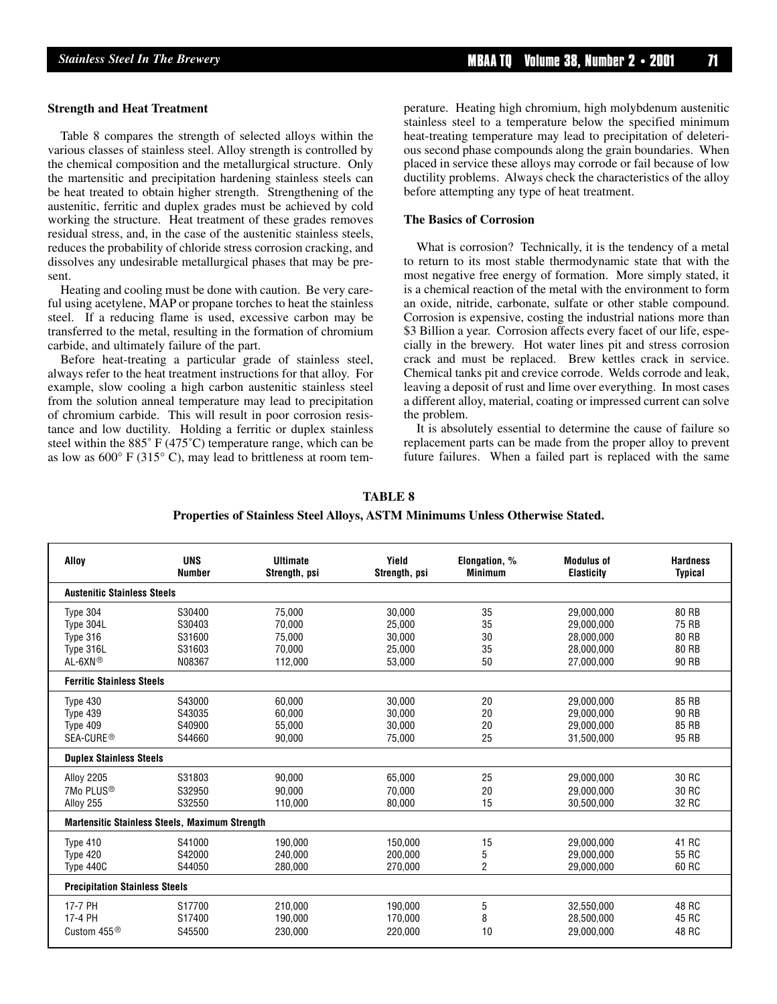#### **Strength and Heat Treatment**

Table 8 compares the strength of selected alloys within the various classes of stainless steel. Alloy strength is controlled by the chemical composition and the metallurgical structure. Only the martensitic and precipitation hardening stainless steels can be heat treated to obtain higher strength. Strengthening of the austenitic, ferritic and duplex grades must be achieved by cold working the structure. Heat treatment of these grades removes residual stress, and, in the case of the austenitic stainless steels, reduces the probability of chloride stress corrosion cracking, and dissolves any undesirable metallurgical phases that may be present.

Heating and cooling must be done with caution. Be very careful using acetylene, MAP or propane torches to heat the stainless steel. If a reducing flame is used, excessive carbon may be transferred to the metal, resulting in the formation of chromium carbide, and ultimately failure of the part.

Before heat-treating a particular grade of stainless steel, always refer to the heat treatment instructions for that alloy. For example, slow cooling a high carbon austenitic stainless steel from the solution anneal temperature may lead to precipitation of chromium carbide. This will result in poor corrosion resistance and low ductility. Holding a ferritic or duplex stainless steel within the 885˚ F (475˚C) temperature range, which can be as low as  $600^{\circ}$  F (315 $^{\circ}$  C), may lead to brittleness at room temperature. Heating high chromium, high molybdenum austenitic stainless steel to a temperature below the specified minimum heat-treating temperature may lead to precipitation of deleterious second phase compounds along the grain boundaries. When placed in service these alloys may corrode or fail because of low ductility problems. Always check the characteristics of the alloy before attempting any type of heat treatment.

#### **The Basics of Corrosion**

What is corrosion? Technically, it is the tendency of a metal to return to its most stable thermodynamic state that with the most negative free energy of formation. More simply stated, it is a chemical reaction of the metal with the environment to form an oxide, nitride, carbonate, sulfate or other stable compound. Corrosion is expensive, costing the industrial nations more than \$3 Billion a year. Corrosion affects every facet of our life, especially in the brewery. Hot water lines pit and stress corrosion crack and must be replaced. Brew kettles crack in service. Chemical tanks pit and crevice corrode. Welds corrode and leak, leaving a deposit of rust and lime over everything. In most cases a different alloy, material, coating or impressed current can solve the problem.

It is absolutely essential to determine the cause of failure so replacement parts can be made from the proper alloy to prevent future failures. When a failed part is replaced with the same

| <b>TABLE 8</b>                                                               |
|------------------------------------------------------------------------------|
| Properties of Stainless Steel Alloys, ASTM Minimums Unless Otherwise Stated. |

| Alloy                                          | <b>UNS</b>    | <b>Ultimate</b> | Yield         | Elongation, %  | <b>Modulus of</b> | <b>Hardness</b> |
|------------------------------------------------|---------------|-----------------|---------------|----------------|-------------------|-----------------|
|                                                | <b>Number</b> | Strength, psi   | Strength, psi | <b>Minimum</b> | <b>Elasticity</b> | <b>Typical</b>  |
| <b>Austenitic Stainless Steels</b>             |               |                 |               |                |                   |                 |
| Type 304                                       | S30400        | 75.000          | 30.000        | 35             | 29.000.000        | 80 RB           |
| Type 304L                                      | S30403        | 70,000          | 25,000        | 35             | 29,000,000        | 75 RB           |
| Type 316                                       | S31600        | 75.000          | 30,000        | 30             | 28.000.000        | 80 RB           |
| Type 316L                                      | S31603        | 70.000          | 25,000        | 35             | 28,000,000        | 80 RB           |
| AL-6XN®                                        | N08367        | 112.000         | 53,000        | 50             | 27.000.000        | 90 RB           |
| <b>Ferritic Stainless Steels</b>               |               |                 |               |                |                   |                 |
| Type 430                                       | S43000        | 60.000          | 30,000        | 20             | 29,000,000        | 85 RB           |
| Type 439                                       | S43035        | 60.000          | 30.000        | 20             | 29.000.000        | 90 RB           |
| Type 409                                       | S40900        | 55.000          | 30.000        | 20             | 29,000,000        | 85 RB           |
| SEA-CURE <sup>®</sup>                          | S44660        | 90.000          | 75,000        | 25             | 31,500,000        | 95 RB           |
| <b>Duplex Stainless Steels</b>                 |               |                 |               |                |                   |                 |
| <b>Alloy 2205</b>                              | S31803        | 90,000          | 65,000        | 25             | 29,000,000        | 30 RC           |
| 7Mo PLUS <sup>®</sup>                          | S32950        | 90.000          | 70.000        | 20             | 29.000.000        | 30 RC           |
| Alloy 255                                      | S32550        | 110.000         | 80,000        | 15             | 30.500.000        | 32 RC           |
| Martensitic Stainless Steels, Maximum Strength |               |                 |               |                |                   |                 |
| Type 410                                       | S41000        | 190,000         | 150,000       | 15             | 29,000,000        | 41 RC           |
| Type 420                                       | S42000        | 240.000         | 200.000       | 5              | 29.000.000        | 55 RC           |
| Type 440C                                      | S44050        | 280.000         | 270.000       | $\overline{2}$ | 29,000,000        | 60 RC           |
| <b>Precipitation Stainless Steels</b>          |               |                 |               |                |                   |                 |
| 17-7 PH                                        | S17700        | 210.000         | 190.000       | 5              | 32.550.000        | 48 RC           |
| 17-4 PH                                        | S17400        | 190,000         | 170,000       | 8              | 28,500,000        | 45 RC           |
| Custom 455 $\circledR$                         | S45500        | 230.000         | 220.000       | 10             | 29.000.000        | 48 RC           |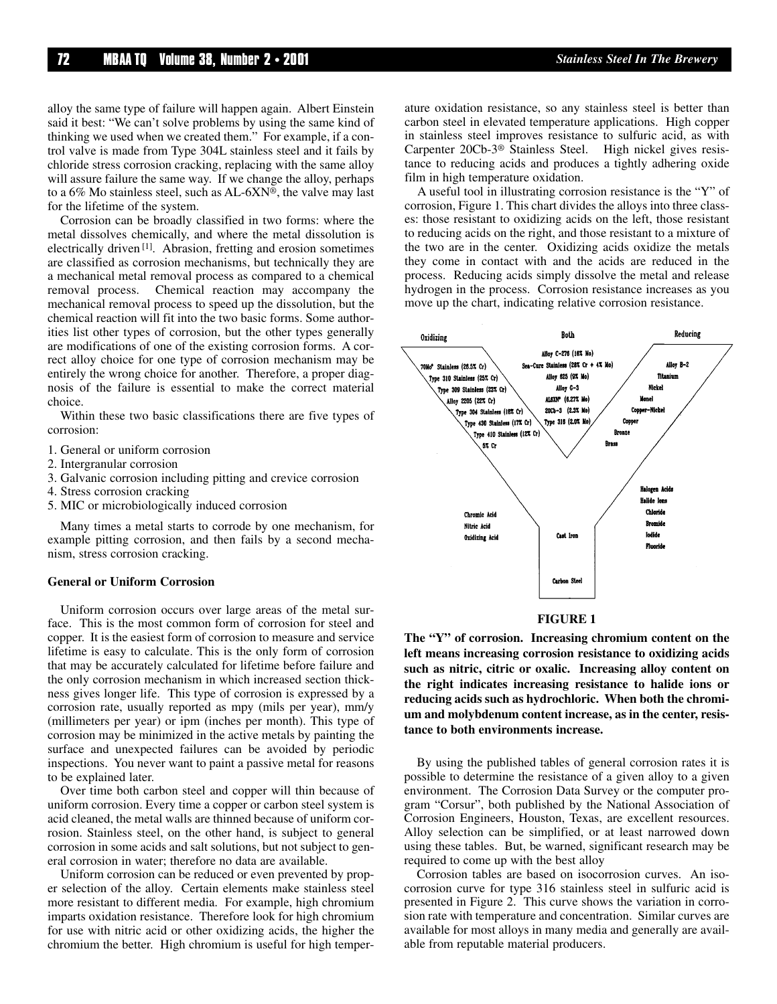alloy the same type of failure will happen again. Albert Einstein said it best: "We can't solve problems by using the same kind of thinking we used when we created them." For example, if a control valve is made from Type 304L stainless steel and it fails by chloride stress corrosion cracking, replacing with the same alloy will assure failure the same way. If we change the alloy, perhaps to a 6% Mo stainless steel, such as AL-6XN®, the valve may last for the lifetime of the system.

Corrosion can be broadly classified in two forms: where the metal dissolves chemically, and where the metal dissolution is electrically driven [1]. Abrasion, fretting and erosion sometimes are classified as corrosion mechanisms, but technically they are a mechanical metal removal process as compared to a chemical removal process. Chemical reaction may accompany the mechanical removal process to speed up the dissolution, but the chemical reaction will fit into the two basic forms. Some authorities list other types of corrosion, but the other types generally are modifications of one of the existing corrosion forms. A correct alloy choice for one type of corrosion mechanism may be entirely the wrong choice for another. Therefore, a proper diagnosis of the failure is essential to make the correct material choice.

Within these two basic classifications there are five types of corrosion:

- 1. General or uniform corrosion
- 2. Intergranular corrosion
- 3. Galvanic corrosion including pitting and crevice corrosion
- 4. Stress corrosion cracking
- 5. MIC or microbiologically induced corrosion

Many times a metal starts to corrode by one mechanism, for example pitting corrosion, and then fails by a second mechanism, stress corrosion cracking.

#### **General or Uniform Corrosion**

Uniform corrosion occurs over large areas of the metal surface. This is the most common form of corrosion for steel and copper. It is the easiest form of corrosion to measure and service lifetime is easy to calculate. This is the only form of corrosion that may be accurately calculated for lifetime before failure and the only corrosion mechanism in which increased section thickness gives longer life. This type of corrosion is expressed by a corrosion rate, usually reported as mpy (mils per year), mm/y (millimeters per year) or ipm (inches per month). This type of corrosion may be minimized in the active metals by painting the surface and unexpected failures can be avoided by periodic inspections. You never want to paint a passive metal for reasons to be explained later.

Over time both carbon steel and copper will thin because of uniform corrosion. Every time a copper or carbon steel system is acid cleaned, the metal walls are thinned because of uniform corrosion. Stainless steel, on the other hand, is subject to general corrosion in some acids and salt solutions, but not subject to general corrosion in water; therefore no data are available.

Uniform corrosion can be reduced or even prevented by proper selection of the alloy. Certain elements make stainless steel more resistant to different media. For example, high chromium imparts oxidation resistance. Therefore look for high chromium for use with nitric acid or other oxidizing acids, the higher the chromium the better. High chromium is useful for high temperature oxidation resistance, so any stainless steel is better than carbon steel in elevated temperature applications. High copper in stainless steel improves resistance to sulfuric acid, as with Carpenter 20Cb-3® Stainless Steel. High nickel gives resistance to reducing acids and produces a tightly adhering oxide film in high temperature oxidation.

A useful tool in illustrating corrosion resistance is the "Y" of corrosion, Figure 1. This chart divides the alloys into three classes: those resistant to oxidizing acids on the left, those resistant to reducing acids on the right, and those resistant to a mixture of the two are in the center. Oxidizing acids oxidize the metals they come in contact with and the acids are reduced in the process. Reducing acids simply dissolve the metal and release hydrogen in the process. Corrosion resistance increases as you move up the chart, indicating relative corrosion resistance.



#### **FIGURE 1**

**The "Y" of corrosion. Increasing chromium content on the left means increasing corrosion resistance to oxidizing acids such as nitric, citric or oxalic. Increasing alloy content on the right indicates increasing resistance to halide ions or reducing acids such as hydrochloric. When both the chromium and molybdenum content increase, as in the center, resistance to both environments increase.**

By using the published tables of general corrosion rates it is possible to determine the resistance of a given alloy to a given environment. The Corrosion Data Survey or the computer program "Corsur", both published by the National Association of Corrosion Engineers, Houston, Texas, are excellent resources. Alloy selection can be simplified, or at least narrowed down using these tables. But, be warned, significant research may be required to come up with the best alloy

Corrosion tables are based on isocorrosion curves. An isocorrosion curve for type 316 stainless steel in sulfuric acid is presented in Figure 2. This curve shows the variation in corrosion rate with temperature and concentration. Similar curves are available for most alloys in many media and generally are available from reputable material producers.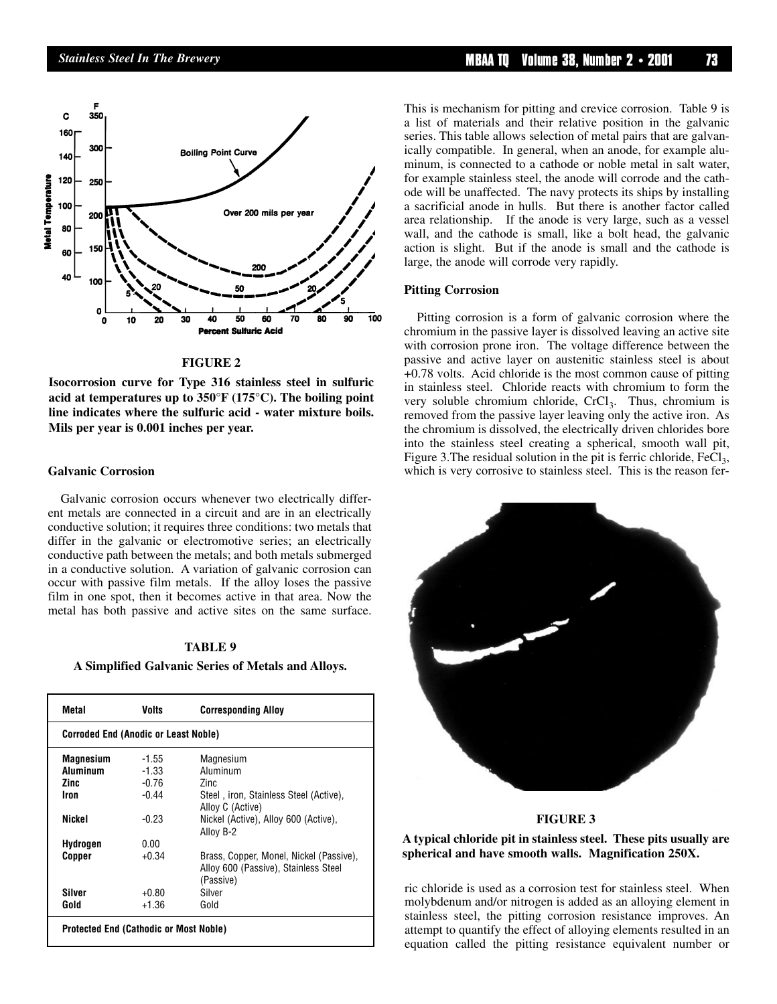

#### **FIGURE 2**

**Isocorrosion curve for Type 316 stainless steel in sulfuric acid at temperatures up to 350°F (175°C). The boiling point line indicates where the sulfuric acid - water mixture boils. Mils per year is 0.001 inches per year.**

#### **Galvanic Corrosion**

Galvanic corrosion occurs whenever two electrically different metals are connected in a circuit and are in an electrically conductive solution; it requires three conditions: two metals that differ in the galvanic or electromotive series; an electrically conductive path between the metals; and both metals submerged in a conductive solution. A variation of galvanic corrosion can occur with passive film metals. If the alloy loses the passive film in one spot, then it becomes active in that area. Now the metal has both passive and active sites on the same surface.

#### **TABLE 9**

#### **A Simplified Galvanic Series of Metals and Alloys.**

| Metal                                         | Volts                                       | <b>Corresponding Alloy</b>                                                                   |  |  |  |
|-----------------------------------------------|---------------------------------------------|----------------------------------------------------------------------------------------------|--|--|--|
|                                               | <b>Corroded End (Anodic or Least Noble)</b> |                                                                                              |  |  |  |
| Magnesium                                     | $-1.55$                                     | Magnesium                                                                                    |  |  |  |
| <b>Aluminum</b>                               | $-1.33$                                     | Aluminum                                                                                     |  |  |  |
| Zinc.                                         | $-0.76$                                     | 7inc                                                                                         |  |  |  |
| Iron                                          | $-0.44$                                     | Steel, iron, Stainless Steel (Active),<br>Alloy C (Active)                                   |  |  |  |
| Nickel                                        | $-0.23$                                     | Nickel (Active), Alloy 600 (Active),<br>Allov B-2                                            |  |  |  |
| Hydrogen                                      | 0.00                                        |                                                                                              |  |  |  |
| Copper                                        | $+0.34$                                     | Brass, Copper, Monel, Nickel (Passive),<br>Alloy 600 (Passive), Stainless Steel<br>(Passive) |  |  |  |
| Silver                                        | $+0.80$                                     | Silver                                                                                       |  |  |  |
| Gold                                          | $+1.36$                                     | Gold                                                                                         |  |  |  |
| <b>Protected End (Cathodic or Most Noble)</b> |                                             |                                                                                              |  |  |  |

This is mechanism for pitting and crevice corrosion. Table 9 is a list of materials and their relative position in the galvanic series. This table allows selection of metal pairs that are galvanically compatible. In general, when an anode, for example aluminum, is connected to a cathode or noble metal in salt water, for example stainless steel, the anode will corrode and the cathode will be unaffected. The navy protects its ships by installing a sacrificial anode in hulls. But there is another factor called area relationship. If the anode is very large, such as a vessel wall, and the cathode is small, like a bolt head, the galvanic action is slight. But if the anode is small and the cathode is large, the anode will corrode very rapidly.

#### **Pitting Corrosion**

Pitting corrosion is a form of galvanic corrosion where the chromium in the passive layer is dissolved leaving an active site with corrosion prone iron. The voltage difference between the passive and active layer on austenitic stainless steel is about +0.78 volts. Acid chloride is the most common cause of pitting in stainless steel. Chloride reacts with chromium to form the very soluble chromium chloride, CrCl<sub>3</sub>. Thus, chromium is removed from the passive layer leaving only the active iron. As the chromium is dissolved, the electrically driven chlorides bore into the stainless steel creating a spherical, smooth wall pit, Figure 3. The residual solution in the pit is ferric chloride,  $FeCl<sub>3</sub>$ , which is very corrosive to stainless steel. This is the reason fer-



#### **FIGURE 3**

**A typical chloride pit in stainless steel. These pits usually are spherical and have smooth walls. Magnification 250X.**

ric chloride is used as a corrosion test for stainless steel. When molybdenum and/or nitrogen is added as an alloying element in stainless steel, the pitting corrosion resistance improves. An attempt to quantify the effect of alloying elements resulted in an equation called the pitting resistance equivalent number or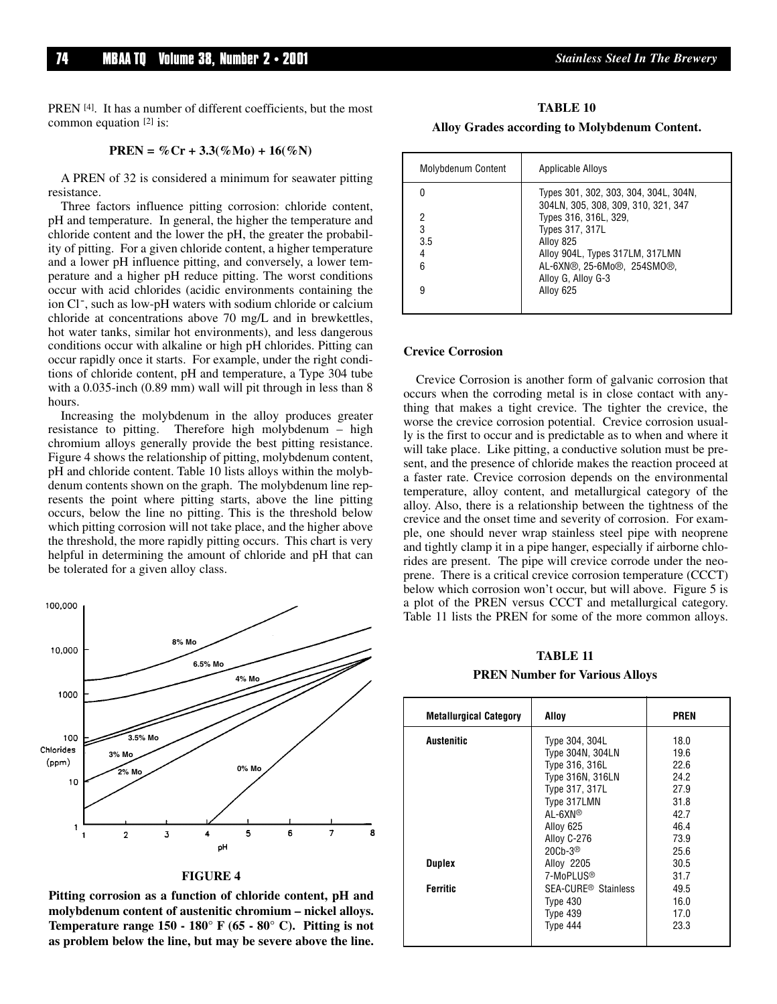PREN [4]. It has a number of different coefficients, but the most common equation [2] is:

#### **PREN** =  $\%$ Cr + 3.3( $\%$ Mo) + 16( $\%$ N)

A PREN of 32 is considered a minimum for seawater pitting resistance.

Three factors influence pitting corrosion: chloride content, pH and temperature. In general, the higher the temperature and chloride content and the lower the pH, the greater the probability of pitting. For a given chloride content, a higher temperature and a lower pH influence pitting, and conversely, a lower temperature and a higher pH reduce pitting. The worst conditions occur with acid chlorides (acidic environments containing the ion Cl<sup>-</sup>, such as low-pH waters with sodium chloride or calcium chloride at concentrations above 70 mg/L and in brewkettles, hot water tanks, similar hot environments), and less dangerous conditions occur with alkaline or high pH chlorides. Pitting can occur rapidly once it starts. For example, under the right conditions of chloride content, pH and temperature, a Type 304 tube with a 0.035-inch (0.89 mm) wall will pit through in less than 8 hours.

Increasing the molybdenum in the alloy produces greater resistance to pitting. Therefore high molybdenum – high chromium alloys generally provide the best pitting resistance. Figure 4 shows the relationship of pitting, molybdenum content, pH and chloride content. Table 10 lists alloys within the molybdenum contents shown on the graph. The molybdenum line represents the point where pitting starts, above the line pitting occurs, below the line no pitting. This is the threshold below which pitting corrosion will not take place, and the higher above the threshold, the more rapidly pitting occurs. This chart is very helpful in determining the amount of chloride and pH that can be tolerated for a given alloy class.



**FIGURE 4**

**Pitting corrosion as a function of chloride content, pH and molybdenum content of austenitic chromium – nickel alloys. Temperature range 150 - 180° F (65 - 80° C). Pitting is not as problem below the line, but may be severe above the line.**

**TABLE 10 Alloy Grades according to Molybdenum Content.**

| Molybdenum Content | Applicable Alloys                                                            |
|--------------------|------------------------------------------------------------------------------|
|                    | Types 301, 302, 303, 304, 304L, 304N,<br>304LN, 305, 308, 309, 310, 321, 347 |
| 2                  | Types 316, 316L, 329,                                                        |
| 3                  | Types 317, 317L                                                              |
| 3.5                | Alloy 825                                                                    |
|                    | Alloy 904L, Types 317LM, 317LMN                                              |
| հ                  | AL-6XN®, 25-6Mo®, 254SMO®,                                                   |
|                    | Alloy G, Alloy G-3                                                           |
|                    | Alloy 625                                                                    |
|                    |                                                                              |

#### **Crevice Corrosion**

Crevice Corrosion is another form of galvanic corrosion that occurs when the corroding metal is in close contact with anything that makes a tight crevice. The tighter the crevice, the worse the crevice corrosion potential. Crevice corrosion usually is the first to occur and is predictable as to when and where it will take place. Like pitting, a conductive solution must be present, and the presence of chloride makes the reaction proceed at a faster rate. Crevice corrosion depends on the environmental temperature, alloy content, and metallurgical category of the alloy. Also, there is a relationship between the tightness of the crevice and the onset time and severity of corrosion. For example, one should never wrap stainless steel pipe with neoprene and tightly clamp it in a pipe hanger, especially if airborne chlorides are present. The pipe will crevice corrode under the neoprene. There is a critical crevice corrosion temperature (CCCT) below which corrosion won't occur, but will above. Figure 5 is a plot of the PREN versus CCCT and metallurgical category. Table 11 lists the PREN for some of the more common alloys.

#### **TABLE 11**

#### **PREN Number for Various Alloys**

| <b>Metallurgical Category</b> | Alloy                           | <b>PREN</b> |
|-------------------------------|---------------------------------|-------------|
| <b>Austenitic</b>             | Type 304, 304L                  | 18.0        |
|                               | Type 304N, 304LN                | 19.6        |
|                               | Type 316, 316L                  | 22.6        |
|                               | Type 316N, 316LN                | 24.2        |
|                               | Type 317, 317L                  | 27.9        |
|                               | Type 317LMN                     | 31.8        |
|                               | $AL-6XN^{\circledR}$            | 42.7        |
|                               | Alloy 625                       | 46.4        |
|                               | Alloy C-276                     | 73.9        |
|                               | $20Cb-3®$                       | 25.6        |
| Duplex                        | Alloy 2205                      | 30.5        |
|                               | 7-MoPLUS <sup>®</sup>           | 31.7        |
| <b>Ferritic</b>               | SEA-CURE <sup>®</sup> Stainless | 49.5        |
|                               | Type 430                        | 16.0        |
|                               | Type 439                        | 17.0        |
|                               | Type 444                        | 23.3        |
|                               |                                 |             |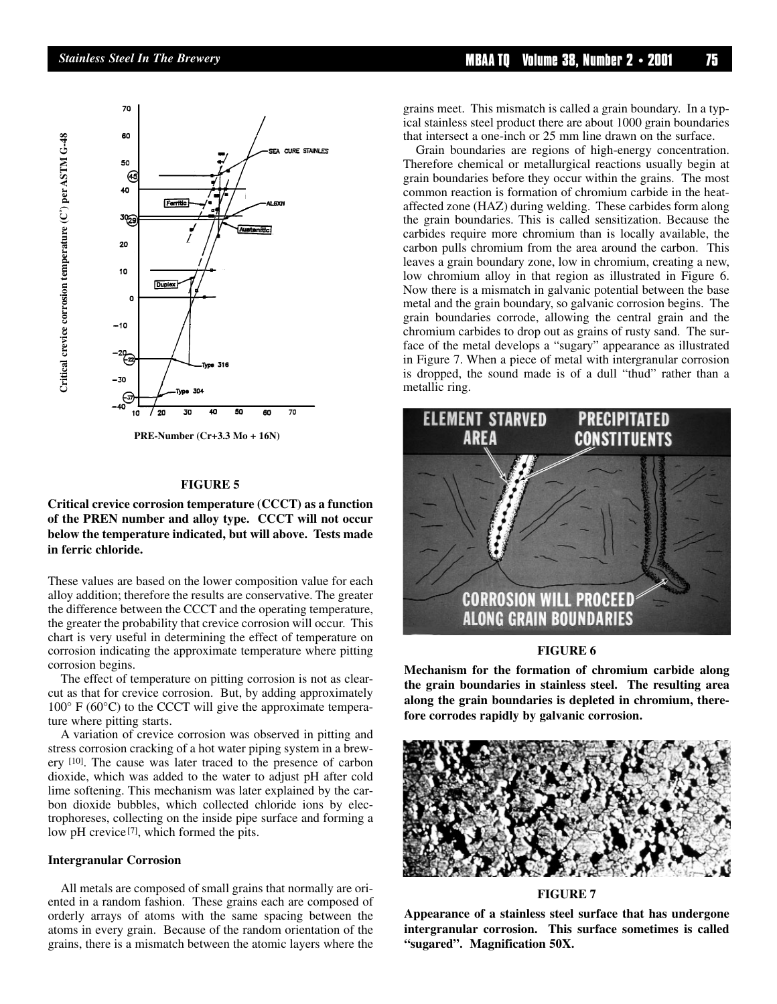



**PRE-Number (Cr+3.3 Mo + 16N)**

#### **FIGURE 5**

**Critical crevice corrosion temperature (CCCT) as a function of the PREN number and alloy type. CCCT will not occur below the temperature indicated, but will above. Tests made**

These values are based on the lower composition value for each alloy addition; therefore the results are conservative. The greater the difference between the CCCT and the operating temperature, the greater the probability that crevice corrosion will occur. This chart is very useful in determining the effect of temperature on corrosion indicating the approximate temperature where pitting corrosion begins.

The effect of temperature on pitting corrosion is not as clearcut as that for crevice corrosion. But, by adding approximately  $100^{\circ}$  F (60 $^{\circ}$ C) to the CCCT will give the approximate temperature where pitting starts.

A variation of crevice corrosion was observed in pitting and stress corrosion cracking of a hot water piping system in a brewery [10]. The cause was later traced to the presence of carbon dioxide, which was added to the water to adjust pH after cold lime softening. This mechanism was later explained by the carbon dioxide bubbles, which collected chloride ions by electrophoreses, collecting on the inside pipe surface and forming a low pH crevice<sup>[7]</sup>, which formed the pits.

#### **Intergranular Corrosion**

All metals are composed of small grains that normally are oriented in a random fashion. These grains each are composed of orderly arrays of atoms with the same spacing between the atoms in every grain. Because of the random orientation of the grains, there is a mismatch between the atomic layers where the

*Stainless Steel In The Brewery* **MBAA TQ Volume 38, Number 2 • 2001 75**

grains meet. This mismatch is called a grain boundary. In a typical stainless steel product there are about 1000 grain boundaries that intersect a one-inch or 25 mm line drawn on the surface.

Grain boundaries are regions of high-energy concentration. Therefore chemical or metallurgical reactions usually begin at grain boundaries before they occur within the grains. The most common reaction is formation of chromium carbide in the heataffected zone (HAZ) during welding. These carbides form along the grain boundaries. This is called sensitization. Because the carbides require more chromium than is locally available, the carbon pulls chromium from the area around the carbon. This leaves a grain boundary zone, low in chromium, creating a new, low chromium alloy in that region as illustrated in Figure 6. Now there is a mismatch in galvanic potential between the base metal and the grain boundary, so galvanic corrosion begins. The grain boundaries corrode, allowing the central grain and the chromium carbides to drop out as grains of rusty sand. The surface of the metal develops a "sugary" appearance as illustrated in Figure 7. When a piece of metal with intergranular corrosion is dropped, the sound made is of a dull "thud" rather than a metallic ring.



#### **FIGURE 6**

**Mechanism for the formation of chromium carbide along the grain boundaries in stainless steel. The resulting area along the grain boundaries is depleted in chromium, therefore corrodes rapidly by galvanic corrosion.**



#### **FIGURE 7**

**Appearance of a stainless steel surface that has undergone intergranular corrosion. This surface sometimes is called "sugared". Magnification 50X.**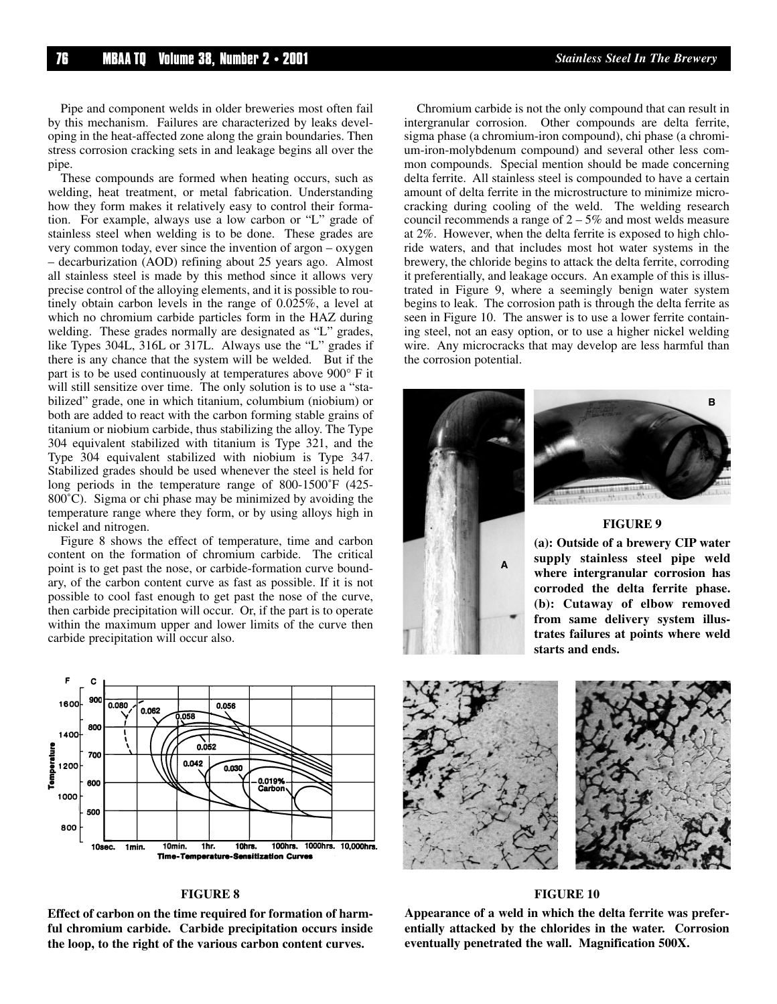Pipe and component welds in older breweries most often fail by this mechanism. Failures are characterized by leaks developing in the heat-affected zone along the grain boundaries. Then stress corrosion cracking sets in and leakage begins all over the pipe.

These compounds are formed when heating occurs, such as welding, heat treatment, or metal fabrication. Understanding how they form makes it relatively easy to control their formation. For example, always use a low carbon or "L" grade of stainless steel when welding is to be done. These grades are very common today, ever since the invention of argon – oxygen – decarburization (AOD) refining about 25 years ago. Almost all stainless steel is made by this method since it allows very precise control of the alloying elements, and it is possible to routinely obtain carbon levels in the range of 0.025%, a level at which no chromium carbide particles form in the HAZ during welding. These grades normally are designated as "L" grades, like Types 304L, 316L or 317L. Always use the "L" grades if there is any chance that the system will be welded. But if the part is to be used continuously at temperatures above 900° F it will still sensitize over time. The only solution is to use a "stabilized" grade, one in which titanium, columbium (niobium) or both are added to react with the carbon forming stable grains of titanium or niobium carbide, thus stabilizing the alloy. The Type 304 equivalent stabilized with titanium is Type 321, and the Type 304 equivalent stabilized with niobium is Type 347. Stabilized grades should be used whenever the steel is held for long periods in the temperature range of 800-1500˚F (425- 800˚C). Sigma or chi phase may be minimized by avoiding the temperature range where they form, or by using alloys high in nickel and nitrogen.

Figure 8 shows the effect of temperature, time and carbon content on the formation of chromium carbide. The critical point is to get past the nose, or carbide-formation curve boundary, of the carbon content curve as fast as possible. If it is not possible to cool fast enough to get past the nose of the curve, then carbide precipitation will occur. Or, if the part is to operate within the maximum upper and lower limits of the curve then carbide precipitation will occur also.



#### **FIGURE 8**

**Effect of carbon on the time required for formation of harmful chromium carbide. Carbide precipitation occurs inside the loop, to the right of the various carbon content curves.**

Chromium carbide is not the only compound that can result in intergranular corrosion. Other compounds are delta ferrite, sigma phase (a chromium-iron compound), chi phase (a chromium-iron-molybdenum compound) and several other less common compounds. Special mention should be made concerning delta ferrite. All stainless steel is compounded to have a certain amount of delta ferrite in the microstructure to minimize microcracking during cooling of the weld. The welding research council recommends a range of  $2 - 5%$  and most welds measure at 2%. However, when the delta ferrite is exposed to high chloride waters, and that includes most hot water systems in the brewery, the chloride begins to attack the delta ferrite, corroding it preferentially, and leakage occurs. An example of this is illustrated in Figure 9, where a seemingly benign water system begins to leak. The corrosion path is through the delta ferrite as seen in Figure 10. The answer is to use a lower ferrite containing steel, not an easy option, or to use a higher nickel welding wire. Any microcracks that may develop are less harmful than the corrosion potential.





#### **FIGURE 9**

**(a): Outside of a brewery CIP water supply stainless steel pipe weld where intergranular corrosion has corroded the delta ferrite phase. (b): Cutaway of elbow removed from same delivery system illustrates failures at points where weld starts and ends.**



#### **FIGURE 10**

**Appearance of a weld in which the delta ferrite was preferentially attacked by the chlorides in the water. Corrosion eventually penetrated the wall. Magnification 500X.**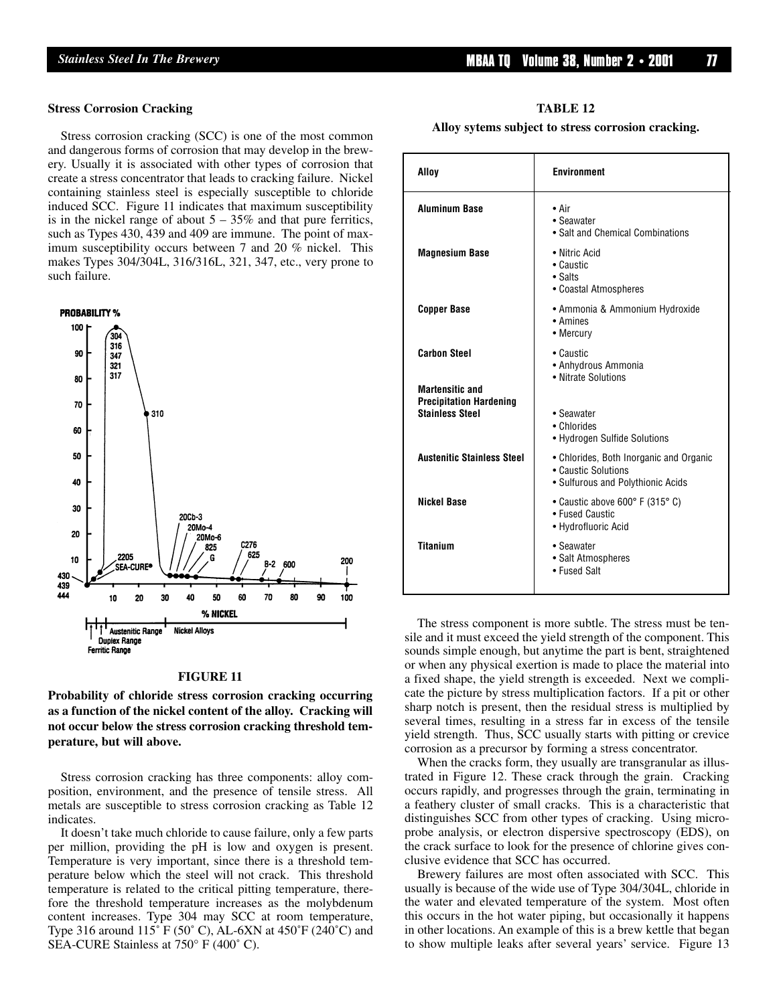#### **Stress Corrosion Cracking**

Stress corrosion cracking (SCC) is one of the most common and dangerous forms of corrosion that may develop in the brewery. Usually it is associated with other types of corrosion that create a stress concentrator that leads to cracking failure. Nickel containing stainless steel is especially susceptible to chloride induced SCC. Figure 11 indicates that maximum susceptibility is in the nickel range of about  $5 - 35\%$  and that pure ferritics, such as Types 430, 439 and 409 are immune. The point of maximum susceptibility occurs between 7 and 20 % nickel. This makes Types 304/304L, 316/316L, 321, 347, etc., very prone to such failure.



#### **FIGURE 11**

**Probability of chloride stress corrosion cracking occurring as a function of the nickel content of the alloy. Cracking will not occur below the stress corrosion cracking threshold temperature, but will above.**

Stress corrosion cracking has three components: alloy composition, environment, and the presence of tensile stress. All metals are susceptible to stress corrosion cracking as Table 12 indicates.

It doesn't take much chloride to cause failure, only a few parts per million, providing the pH is low and oxygen is present. Temperature is very important, since there is a threshold temperature below which the steel will not crack. This threshold temperature is related to the critical pitting temperature, therefore the threshold temperature increases as the molybdenum content increases. Type 304 may SCC at room temperature, Type 316 around 115˚ F (50˚ C), AL-6XN at 450˚F (240˚C) and SEA-CURE Stainless at 750° F (400˚ C).

| TABLE 12 |  |
|----------|--|
|----------|--|

**Alloy sytems subject to stress corrosion cracking.**

| Alloy                                                                              | <b>Environment</b>                                                                                  |
|------------------------------------------------------------------------------------|-----------------------------------------------------------------------------------------------------|
| <b>Aluminum Base</b>                                                               | • Air<br>• Seawater<br>• Salt and Chemical Combinations                                             |
| <b>Magnesium Base</b>                                                              | • Nitric Acid<br>• Caustic<br>$\bullet$ Salts<br>• Coastal Atmospheres                              |
| <b>Copper Base</b>                                                                 | • Ammonia & Ammonium Hydroxide<br>• Amines<br>• Mercury                                             |
| <b>Carbon Steel</b>                                                                | • Caustic<br>• Anhydrous Ammonia<br>• Nitrate Solutions                                             |
| <b>Martensitic and</b><br><b>Precipitation Hardening</b><br><b>Stainless Steel</b> | • Seawater<br>• Chlorides<br>• Hydrogen Sulfide Solutions                                           |
| <b>Austenitic Stainless Steel</b>                                                  | • Chlorides, Both Inorganic and Organic<br>• Caustic Solutions<br>• Sulfurous and Polythionic Acids |
| <b>Nickel Base</b>                                                                 | • Caustic above 600° F (315° C)<br>• Fused Caustic<br>• Hydrofluoric Acid                           |
| <b>Titanium</b>                                                                    | • Seawater<br>• Salt Atmospheres<br>• Fused Salt                                                    |

The stress component is more subtle. The stress must be tensile and it must exceed the yield strength of the component. This sounds simple enough, but anytime the part is bent, straightened or when any physical exertion is made to place the material into a fixed shape, the yield strength is exceeded. Next we complicate the picture by stress multiplication factors. If a pit or other sharp notch is present, then the residual stress is multiplied by several times, resulting in a stress far in excess of the tensile yield strength. Thus, SCC usually starts with pitting or crevice corrosion as a precursor by forming a stress concentrator.

When the cracks form, they usually are transgranular as illustrated in Figure 12. These crack through the grain. Cracking occurs rapidly, and progresses through the grain, terminating in a feathery cluster of small cracks. This is a characteristic that distinguishes SCC from other types of cracking. Using microprobe analysis, or electron dispersive spectroscopy (EDS), on the crack surface to look for the presence of chlorine gives conclusive evidence that SCC has occurred.

Brewery failures are most often associated with SCC. This usually is because of the wide use of Type 304/304L, chloride in the water and elevated temperature of the system. Most often this occurs in the hot water piping, but occasionally it happens in other locations. An example of this is a brew kettle that began to show multiple leaks after several years' service. Figure 13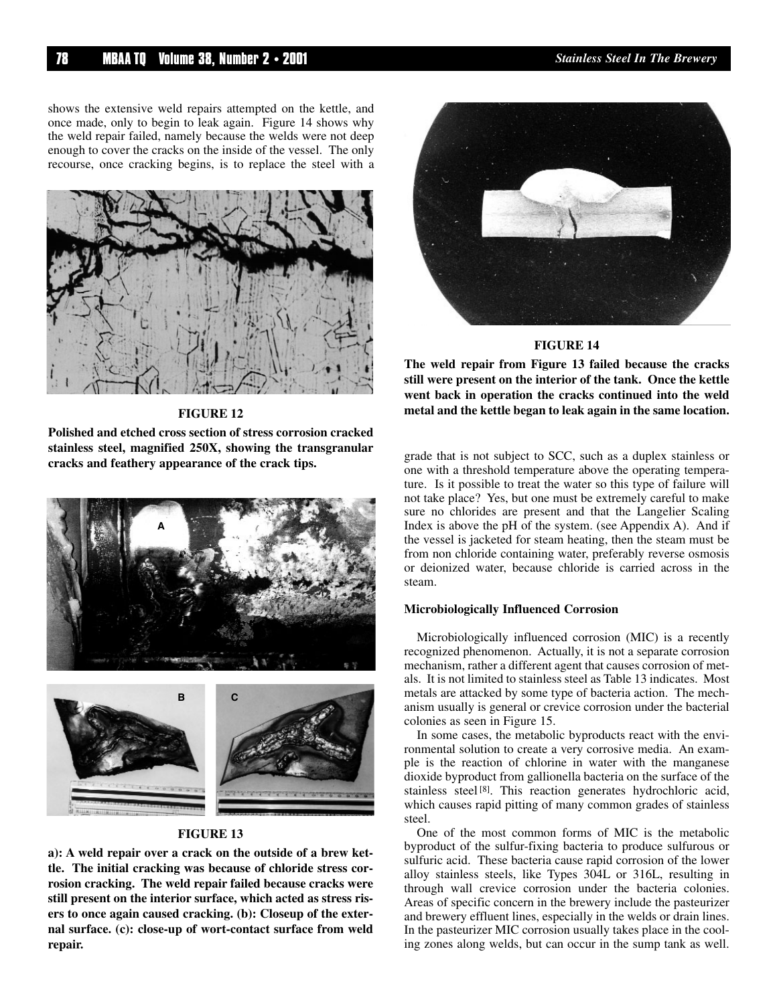shows the extensive weld repairs attempted on the kettle, and once made, only to begin to leak again. Figure 14 shows why the weld repair failed, namely because the welds were not deep enough to cover the cracks on the inside of the vessel. The only recourse, once cracking begins, is to replace the steel with a



**FIGURE 12**

**Polished and etched cross section of stress corrosion cracked stainless steel, magnified 250X, showing the transgranular cracks and feathery appearance of the crack tips.**





#### **FIGURE 13**

**a): A weld repair over a crack on the outside of a brew kettle. The initial cracking was because of chloride stress corrosion cracking. The weld repair failed because cracks were still present on the interior surface, which acted as stress risers to once again caused cracking. (b): Closeup of the external surface. (c): close-up of wort-contact surface from weld repair.**



#### **FIGURE 14**

**The weld repair from Figure 13 failed because the cracks still were present on the interior of the tank. Once the kettle went back in operation the cracks continued into the weld metal and the kettle began to leak again in the same location.**

grade that is not subject to SCC, such as a duplex stainless or one with a threshold temperature above the operating temperature. Is it possible to treat the water so this type of failure will not take place? Yes, but one must be extremely careful to make sure no chlorides are present and that the Langelier Scaling Index is above the pH of the system. (see Appendix A). And if the vessel is jacketed for steam heating, then the steam must be from non chloride containing water, preferably reverse osmosis or deionized water, because chloride is carried across in the steam.

#### **Microbiologically Influenced Corrosion**

Microbiologically influenced corrosion (MIC) is a recently recognized phenomenon. Actually, it is not a separate corrosion mechanism, rather a different agent that causes corrosion of metals. It is not limited to stainless steel as Table 13 indicates. Most metals are attacked by some type of bacteria action. The mechanism usually is general or crevice corrosion under the bacterial colonies as seen in Figure 15.

In some cases, the metabolic byproducts react with the environmental solution to create a very corrosive media. An example is the reaction of chlorine in water with the manganese dioxide byproduct from gallionella bacteria on the surface of the stainless steel [8]. This reaction generates hydrochloric acid, which causes rapid pitting of many common grades of stainless steel.

One of the most common forms of MIC is the metabolic byproduct of the sulfur-fixing bacteria to produce sulfurous or sulfuric acid. These bacteria cause rapid corrosion of the lower alloy stainless steels, like Types 304L or 316L, resulting in through wall crevice corrosion under the bacteria colonies. Areas of specific concern in the brewery include the pasteurizer and brewery effluent lines, especially in the welds or drain lines. In the pasteurizer MIC corrosion usually takes place in the cooling zones along welds, but can occur in the sump tank as well.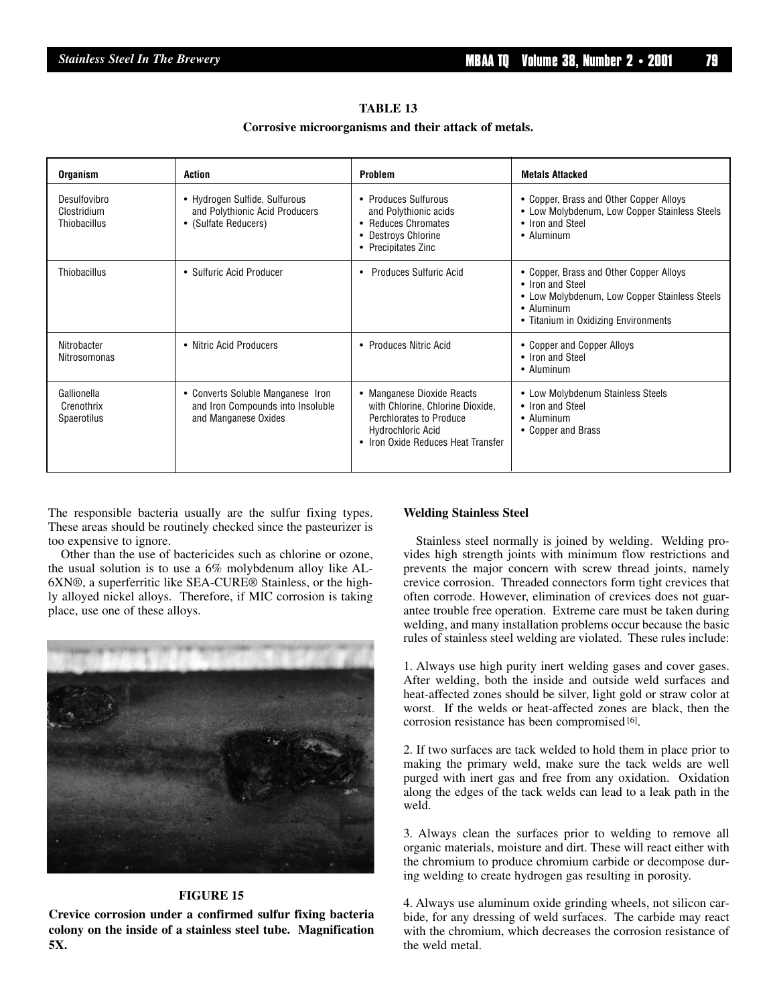#### **TABLE 13**

#### **Corrosive microorganisms and their attack of metals.**

| <b>Organism</b>                                 | Action                                                                                         | <b>Problem</b>                                                                                                                                              | <b>Metals Attacked</b>                                                                                                                                             |
|-------------------------------------------------|------------------------------------------------------------------------------------------------|-------------------------------------------------------------------------------------------------------------------------------------------------------------|--------------------------------------------------------------------------------------------------------------------------------------------------------------------|
| Desulfovibro<br>Clostridium<br>Thiobacillus     | • Hydrogen Sulfide, Sulfurous<br>and Polythionic Acid Producers<br>• (Sulfate Reducers)        | • Produces Sulfurous<br>and Polythionic acids<br>• Reduces Chromates<br>• Destroys Chlorine<br>• Precipitates Zinc                                          | • Copper, Brass and Other Copper Alloys<br>• Low Molybdenum, Low Copper Stainless Steels<br>• Iron and Steel<br>• Aluminum                                         |
| Thiobacillus                                    | • Sulfuric Acid Producer                                                                       | <b>Produces Sulfuric Acid</b>                                                                                                                               | • Copper, Brass and Other Copper Alloys<br>• Iron and Steel<br>• Low Molybdenum, Low Copper Stainless Steels<br>• Aluminum<br>• Titanium in Oxidizing Environments |
| Nitrobacter<br>Nitrosomonas                     | • Nitric Acid Producers                                                                        | • Produces Nitric Acid                                                                                                                                      | • Copper and Copper Alloys<br>• Iron and Steel<br>• Aluminum                                                                                                       |
| Gallionella<br>Crenothrix<br><b>Spaerotilus</b> | • Converts Soluble Manganese Iron<br>and Iron Compounds into Insoluble<br>and Manganese Oxides | • Manganese Dioxide Reacts<br>with Chlorine, Chlorine Dioxide,<br>Perchlorates to Produce<br><b>Hydrochloric Acid</b><br>• Iron Oxide Reduces Heat Transfer | • Low Molybdenum Stainless Steels<br>• Iron and Steel<br>• Aluminum<br>• Copper and Brass                                                                          |

The responsible bacteria usually are the sulfur fixing types. These areas should be routinely checked since the pasteurizer is too expensive to ignore.

Other than the use of bactericides such as chlorine or ozone, the usual solution is to use a 6% molybdenum alloy like AL-6XN®, a superferritic like SEA-CURE® Stainless, or the highly alloyed nickel alloys. Therefore, if MIC corrosion is taking place, use one of these alloys.



#### **FIGURE 15**

**Crevice corrosion under a confirmed sulfur fixing bacteria colony on the inside of a stainless steel tube. Magnification 5X.**

#### **Welding Stainless Steel**

Stainless steel normally is joined by welding. Welding provides high strength joints with minimum flow restrictions and prevents the major concern with screw thread joints, namely crevice corrosion. Threaded connectors form tight crevices that often corrode. However, elimination of crevices does not guarantee trouble free operation. Extreme care must be taken during welding, and many installation problems occur because the basic rules of stainless steel welding are violated. These rules include:

1. Always use high purity inert welding gases and cover gases. After welding, both the inside and outside weld surfaces and heat-affected zones should be silver, light gold or straw color at worst. If the welds or heat-affected zones are black, then the corrosion resistance has been compromised [6].

2. If two surfaces are tack welded to hold them in place prior to making the primary weld, make sure the tack welds are well purged with inert gas and free from any oxidation. Oxidation along the edges of the tack welds can lead to a leak path in the weld.

3. Always clean the surfaces prior to welding to remove all organic materials, moisture and dirt. These will react either with the chromium to produce chromium carbide or decompose during welding to create hydrogen gas resulting in porosity.

4. Always use aluminum oxide grinding wheels, not silicon carbide, for any dressing of weld surfaces. The carbide may react with the chromium, which decreases the corrosion resistance of the weld metal.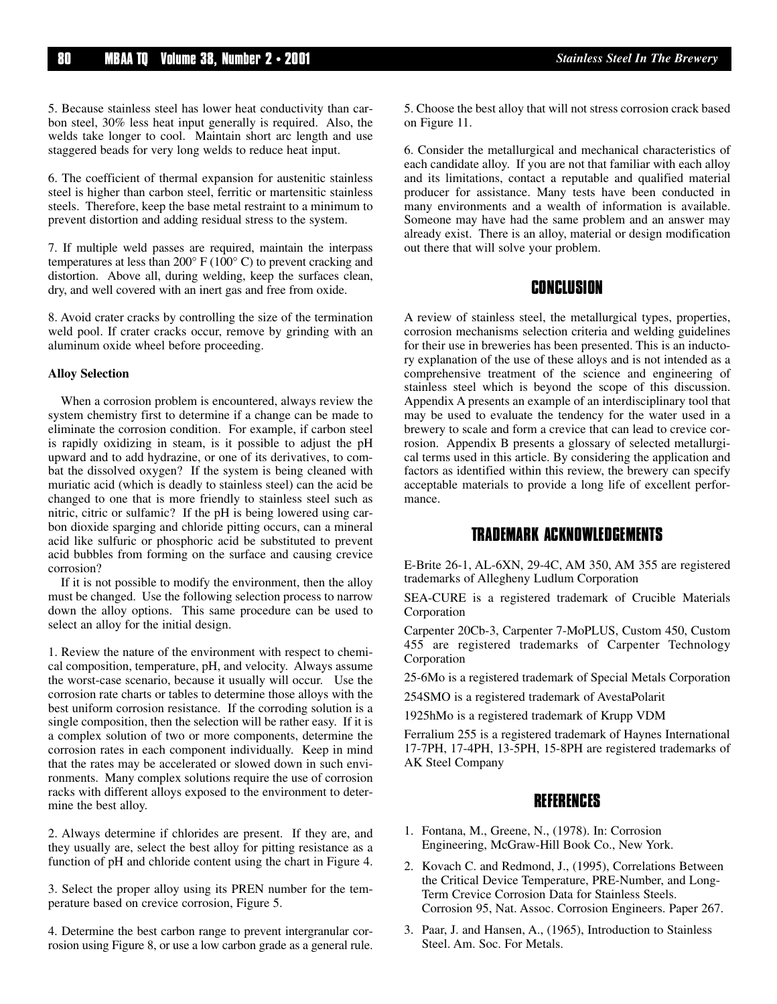5. Because stainless steel has lower heat conductivity than carbon steel, 30% less heat input generally is required. Also, the welds take longer to cool. Maintain short arc length and use staggered beads for very long welds to reduce heat input.

6. The coefficient of thermal expansion for austenitic stainless steel is higher than carbon steel, ferritic or martensitic stainless steels. Therefore, keep the base metal restraint to a minimum to prevent distortion and adding residual stress to the system.

7. If multiple weld passes are required, maintain the interpass temperatures at less than 200° F (100° C) to prevent cracking and distortion. Above all, during welding, keep the surfaces clean, dry, and well covered with an inert gas and free from oxide.

8. Avoid crater cracks by controlling the size of the termination weld pool. If crater cracks occur, remove by grinding with an aluminum oxide wheel before proceeding.

#### **Alloy Selection**

When a corrosion problem is encountered, always review the system chemistry first to determine if a change can be made to eliminate the corrosion condition. For example, if carbon steel is rapidly oxidizing in steam, is it possible to adjust the pH upward and to add hydrazine, or one of its derivatives, to combat the dissolved oxygen? If the system is being cleaned with muriatic acid (which is deadly to stainless steel) can the acid be changed to one that is more friendly to stainless steel such as nitric, citric or sulfamic? If the pH is being lowered using carbon dioxide sparging and chloride pitting occurs, can a mineral acid like sulfuric or phosphoric acid be substituted to prevent acid bubbles from forming on the surface and causing crevice corrosion?

If it is not possible to modify the environment, then the alloy must be changed. Use the following selection process to narrow down the alloy options. This same procedure can be used to select an alloy for the initial design.

1. Review the nature of the environment with respect to chemical composition, temperature, pH, and velocity. Always assume the worst-case scenario, because it usually will occur. Use the corrosion rate charts or tables to determine those alloys with the best uniform corrosion resistance. If the corroding solution is a single composition, then the selection will be rather easy. If it is a complex solution of two or more components, determine the corrosion rates in each component individually. Keep in mind that the rates may be accelerated or slowed down in such environments. Many complex solutions require the use of corrosion racks with different alloys exposed to the environment to determine the best alloy.

2. Always determine if chlorides are present. If they are, and they usually are, select the best alloy for pitting resistance as a function of pH and chloride content using the chart in Figure 4.

3. Select the proper alloy using its PREN number for the temperature based on crevice corrosion, Figure 5.

4. Determine the best carbon range to prevent intergranular corrosion using Figure 8, or use a low carbon grade as a general rule. 5. Choose the best alloy that will not stress corrosion crack based on Figure 11.

6. Consider the metallurgical and mechanical characteristics of each candidate alloy. If you are not that familiar with each alloy and its limitations, contact a reputable and qualified material producer for assistance. Many tests have been conducted in many environments and a wealth of information is available. Someone may have had the same problem and an answer may already exist. There is an alloy, material or design modification out there that will solve your problem.

# **CONCLUSION**

A review of stainless steel, the metallurgical types, properties, corrosion mechanisms selection criteria and welding guidelines for their use in breweries has been presented. This is an inductory explanation of the use of these alloys and is not intended as a comprehensive treatment of the science and engineering of stainless steel which is beyond the scope of this discussion. Appendix A presents an example of an interdisciplinary tool that may be used to evaluate the tendency for the water used in a brewery to scale and form a crevice that can lead to crevice corrosion. Appendix B presents a glossary of selected metallurgical terms used in this article. By considering the application and factors as identified within this review, the brewery can specify acceptable materials to provide a long life of excellent performance.

# **TRADEMARK ACKNOWLEDGEMENTS**

E-Brite 26-1, AL-6XN, 29-4C, AM 350, AM 355 are registered trademarks of Allegheny Ludlum Corporation

SEA-CURE is a registered trademark of Crucible Materials Corporation

Carpenter 20Cb-3, Carpenter 7-MoPLUS, Custom 450, Custom 455 are registered trademarks of Carpenter Technology Corporation

25-6Mo is a registered trademark of Special Metals Corporation

254SMO is a registered trademark of AvestaPolarit

1925hMo is a registered trademark of Krupp VDM

Ferralium 255 is a registered trademark of Haynes International 17-7PH, 17-4PH, 13-5PH, 15-8PH are registered trademarks of AK Steel Company

### **REFERENCES**

- 1. Fontana, M., Greene, N., (1978). In: Corrosion Engineering, McGraw-Hill Book Co., New York.
- 2. Kovach C. and Redmond, J., (1995), Correlations Between the Critical Device Temperature, PRE-Number, and Long-Term Crevice Corrosion Data for Stainless Steels. Corrosion 95, Nat. Assoc. Corrosion Engineers. Paper 267.
- 3. Paar, J. and Hansen, A., (1965), Introduction to Stainless Steel. Am. Soc. For Metals.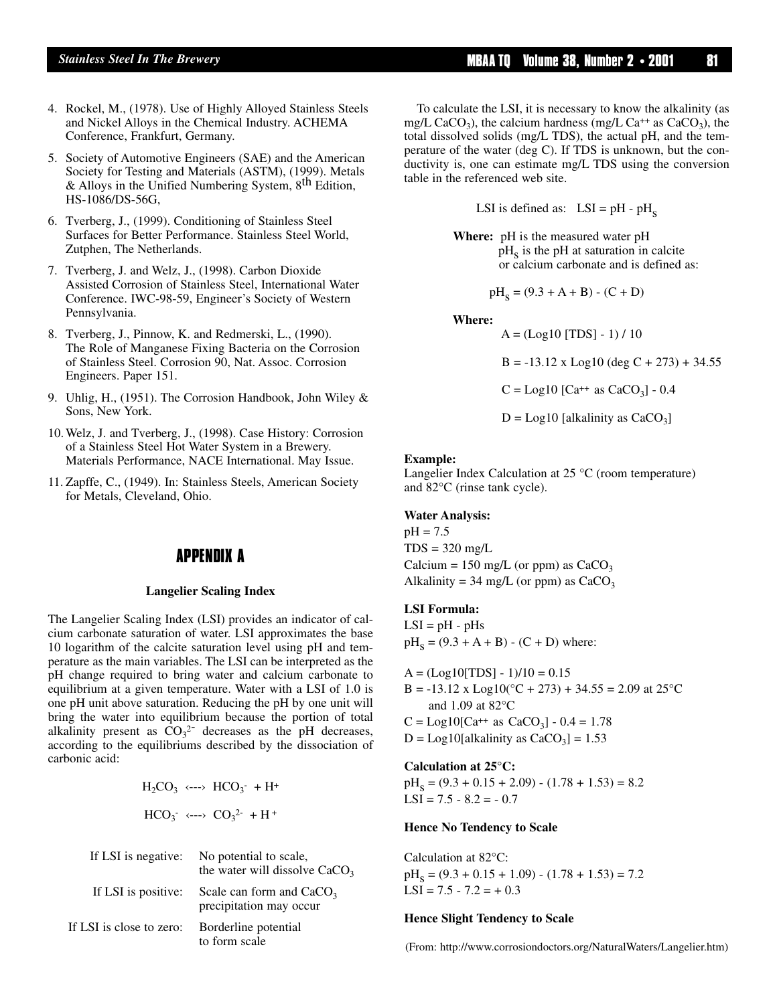- 4. Rockel, M., (1978). Use of Highly Alloyed Stainless Steels and Nickel Alloys in the Chemical Industry. ACHEMA Conference, Frankfurt, Germany.
- 5. Society of Automotive Engineers (SAE) and the American Society for Testing and Materials (ASTM), (1999). Metals & Alloys in the Unified Numbering System, 8th Edition, HS-1086/DS-56G,
- 6. Tverberg, J., (1999). Conditioning of Stainless Steel Surfaces for Better Performance. Stainless Steel World, Zutphen, The Netherlands.
- 7. Tverberg, J. and Welz, J., (1998). Carbon Dioxide Assisted Corrosion of Stainless Steel, International Water Conference. IWC-98-59, Engineer's Society of Western Pennsylvania.
- 8. Tverberg, J., Pinnow, K. and Redmerski, L., (1990). The Role of Manganese Fixing Bacteria on the Corrosion of Stainless Steel. Corrosion 90, Nat. Assoc. Corrosion Engineers. Paper 151.
- 9. Uhlig, H., (1951). The Corrosion Handbook, John Wiley & Sons, New York.
- 10. Welz, J. and Tverberg, J., (1998). Case History: Corrosion of a Stainless Steel Hot Water System in a Brewery. Materials Performance, NACE International. May Issue.
- 11. Zapffe, C., (1949). In: Stainless Steels, American Society for Metals, Cleveland, Ohio.

# **APPENDIX A**

#### **Langelier Scaling Index**

The Langelier Scaling Index (LSI) provides an indicator of calcium carbonate saturation of water. LSI approximates the base 10 logarithm of the calcite saturation level using pH and temperature as the main variables. The LSI can be interpreted as the pH change required to bring water and calcium carbonate to equilibrium at a given temperature. Water with a LSI of 1.0 is one pH unit above saturation. Reducing the pH by one unit will bring the water into equilibrium because the portion of total alkalinity present as  $CO_3^2$ <sup>-</sup> decreases as the pH decreases, according to the equilibriums described by the dissociation of carbonic acid:

$$
H_2CO_3 \longleftrightarrow HCO_3^- + H^+
$$
  

$$
HCO_3^- \longleftrightarrow CO_3^{2-} + H^+
$$

| If LSI is negative:      | No potential to scale,<br>the water will dissolve $CaCO3$ |
|--------------------------|-----------------------------------------------------------|
| If LSI is positive:      | Scale can form and $CaCO3$<br>precipitation may occur     |
| If LSI is close to zero: | Borderline potential<br>to form scale                     |

To calculate the LSI, it is necessary to know the alkalinity (as mg/L CaCO<sub>3</sub>), the calcium hardness (mg/L Ca<sup>++</sup> as CaCO<sub>3</sub>), the total dissolved solids (mg/L TDS), the actual pH, and the temperature of the water (deg C). If TDS is unknown, but the conductivity is, one can estimate mg/L TDS using the conversion table in the referenced web site.

LSI is defined as:  $LSI = pH - pH<sub>s</sub>$ 

**Where:** pH is the measured water pH  $pH<sub>s</sub>$  is the pH at saturation in calcite or calcium carbonate and is defined as:

$$
\mathrm{pH}_\mathrm{S}=(9.3+\mathrm{A}+\mathrm{B})\cdot(\mathrm{C}+\mathrm{D})
$$

**Where:** 

 $A = (Log10 [TDS] - 1) / 10$  $B = -13.12$  x Log10 (deg C + 273) + 34.55  $C = Log10$  [Ca<sup>++</sup> as CaCO<sub>3</sub>] - 0.4

 $D = Log10$  [alkalinity as  $CaCO<sub>3</sub>$ ]

#### **Example:**

Langelier Index Calculation at 25 °C (room temperature) and 82°C (rinse tank cycle).

#### **Water Analysis:**

 $pH = 7.5$  $TDS = 320$  mg/L Calcium = 150 mg/L (or ppm) as  $CaCO<sub>3</sub>$ Alkalinity = 34 mg/L (or ppm) as  $CaCO<sub>3</sub>$ 

#### **LSI Formula:**

 $LSI = pH - pHS$  $pH_s = (9.3 + A + B) - (C + D)$  where:

 $A = (Log10[TDS] - 1)/10 = 0.15$ B = -13.12 x Log10( $^{\circ}$ C + 273) + 34.55 = 2.09 at 25 $^{\circ}$ C and 1.09 at 82°C  $C = Log10[Ca^{++} \text{ as } CaCO_3] - 0.4 = 1.78$  $D = Log10[alkalinity as CaCO<sub>3</sub>] = 1.53$ 

**Calculation at 25°C:**

 $pH_s = (9.3 + 0.15 + 2.09) - (1.78 + 1.53) = 8.2$  $LSI = 7.5 - 8.2 = -0.7$ 

#### **Hence No Tendency to Scale**

Calculation at 82°C:  $pH_s = (9.3 + 0.15 + 1.09) - (1.78 + 1.53) = 7.2$  $LSI = 7.5 - 7.2 = +0.3$ 

#### **Hence Slight Tendency to Scale**

(From: http://www.corrosiondoctors.org/NaturalWaters/Langelier.htm)